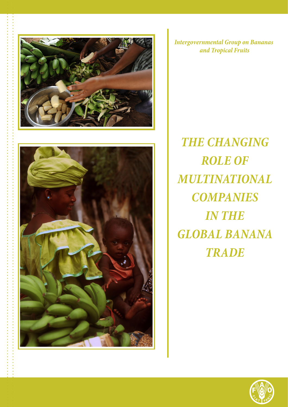



...................................

*Intergovernmental Group on Bananas and Tropical Fruits*

**THE CHANGING** *ROLE OF MULTINATIONAL COMPANIES IN THE GLOBAL BANANA TRADE*

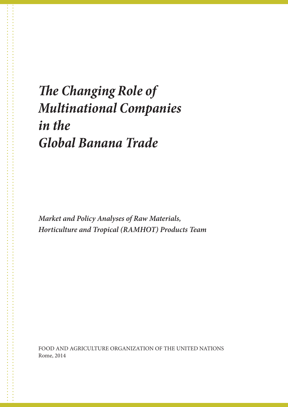## *The Changing Role of Multinational Companies in the Global Banana Trade*

*Market and Policy Analyses of Raw Materials, Horticulture and Tropical (RAMHOT) Products Team*

FOOD AND AGRICULTURE ORGANIZATION OF THE UNITED NATIONS Rome, 2014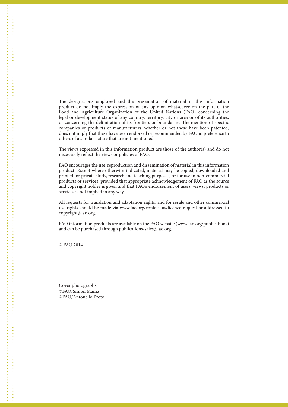The designations employed and the presentation of material in this information product do not imply the expression of any opinion whatsoever on the part of the Food and Agriculture Organization of the United Nations (FAO) concerning the legal or development status of any country, territory, city or area or of its authorities, or concerning the delimitation of its frontiers or boundaries. The mention of specific companies or products of manufacturers, whether or not these have been patented, does not imply that these have been endorsed or recommended by FAO in preference to others of a similar nature that are not mentioned.

The views expressed in this information product are those of the author(s) and do not necessarily reflect the views or policies of FAO.

FAO encourages the use, reproduction and dissemination of material in this information product. Except where otherwise indicated, material may be copied, downloaded and printed for private study, research and teaching purposes, or for use in non-commercial products or services, provided that appropriate acknowledgement of FAO as the source and copyright holder is given and that FAO's endorsement of users' views, products or services is not implied in any way.

All requests for translation and adaptation rights, and for resale and other commercial use rights should be made via www.fao.org/contact-us/licence-request or addressed to copyright@fao.org.

FAO information products are available on the FAO website (www.fao.org/publications) and can be purchased through publications-sales@fao.org.

© FAO 2014

Cover photographs: ©FAO/Simon Maina ©FAO/Antonello Proto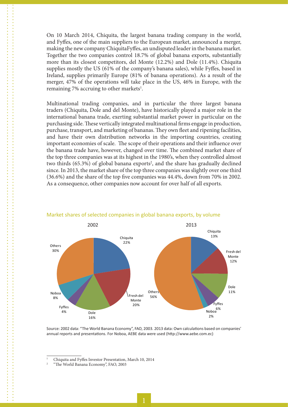On 10 March 2014, Chiquita, the largest banana trading company in the world, and Fyffes, one of the main suppliers to the European market, announced a merger, making the new company ChiquitaFyffes, an undisputed leader in the banana market. Together the two companies control 18.7% of global banana exports, substantially more than its closest competitors, del Monte (12.2%) and Dole (11.4%). Chiquita supplies mostly the US (61% of the company's banana sales), while Fyffes, based in Ireland, supplies primarily Europe (81% of banana operations). As a result of the merger, 47% of the operations will take place in the US, 46% in Europe, with the remaining 7% accruing to other markets<sup>1</sup>.

Multinational trading companies, and in particular the three largest banana traders (Chiquita, Dole and del Monte), have historically played a major role in the international banana trade, exerting substantial market power in particular on the purchasing side. These vertically integrated multinational firms engage in production, purchase, transport, and marketing of bananas. They own fleet and ripening facilities, and have their own distribution networks in the importing countries, creating important economies of scale. The scope of their operations and their influence over the banana trade have, however, changed over time. The combined market share of the top three companies was at its highest in the 1980's, when they controlled almost two thirds (65.3%) of global banana exports<sup>2</sup>, and the share has gradually declined since. In 2013, the market share of the top three companies was slightly over one third (36.6%) and the share of the top five companies was 44.4%, down from 70% in 2002. As a consequence, other companies now account for over half of all exports.



## Market shares of selected companies in global banana exports, by volume

Source: 2002 data: "The World Banana Economy", FAO, 2003. 2013 data: Own calculations based on companies' annual reports and presentations. For Noboa, AEBE data were used (http://www.aebe.com.ec)

<sup>1</sup> Chiquita and Fyffes Investor Presentation, March 10, 2014

<sup>2</sup> "The World Banana Economy", FAO, 2003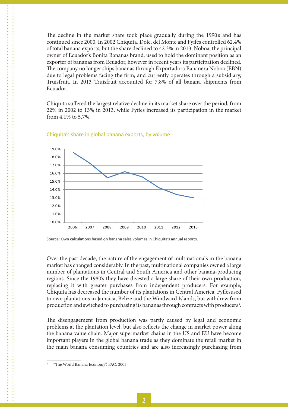The decline in the market share took place gradually during the 1990's and has continued since 2000. In 2002 Chiquita, Dole, del Monte and Fyffes controlled 62.4% of total banana exports, but the share declined to 42.3% in 2013. Noboa, the principal owner of Ecuador's Bonita Bananas brand, used to hold the dominant position as an exporter of bananas from Ecuador, however in recent years its participation declined. The company no longer ships bananas through Exportadora Bananera Noboa (EBN) due to legal problems facing the firm, and currently operates through a subsidiary, Truisfruit. In 2013 Truisfruit accounted for 7.8% of all banana shipments from Ecuador.

Chiquita suffered the largest relative decline in its market share over the period, from 22% in 2002 to 13% in 2013, while Fyffes increased its participation in the market from 4.1% to 5.7%.



## Chiquita's share in global banana exports, by volume

Source: Own calculations based on banana sales volumes in Chiquita's annual reports.

Over the past decade, the nature of the engagement of multinationals in the banana market has changed considerably. In the past, multinational companies owned a large number of plantations in Central and South America and other banana-producing regions. Since the 1980's they have divested a large share of their own production, replacing it with greater purchases from independent producers. For example, Chiquita has decreased the number of its plantations in Central America. Fyffesused to own plantations in Jamaica, Belize and the Windward Islands, but withdrew from production and switched to purchasing its bananas through contracts with producers<sup>3</sup>.

The disengagement from production was partly caused by legal and economic problems at the plantation level, but also reflects the change in market power along the banana value chain. Major supermarket chains in the US and EU have become important players in the global banana trade as they dominate the retail market in the main banana consuming countries and are also increasingly purchasing from

<sup>3</sup> "The World Banana Economy", FAO, 2003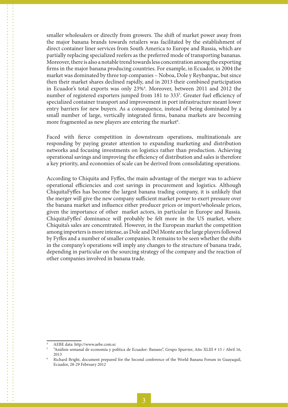smaller wholesalers or directly from growers. The shift of market power away from the major banana brands towards retailers was facilitated by the establishment of direct container liner services from South America to Europe and Russia, which are partially replacing specialized reefers as the preferred mode of transporting bananas. Moreover, there is also a notable trend towards less concentration among the exporting firms in the major banana producing countries. For example, in Ecuador, in 2004 the market was dominated by three top companies – Noboa, Dole y Reybanpac, but since then their market shares declined rapidly, and in 2013 their combined participation in Ecuador's total exports was only 23%4 . Moreover, between 2011 and 2012 the number of registered exporters jumped from 181 to 333<sup>5</sup>. Greater fuel efficiency of specialized container transport and improvement in port infrastructure meant lower entry barriers for new buyers. As a consequence, instead of being dominated by a small number of large, vertically integrated firms, banana markets are becoming more fragmented as new players are entering the market<sup>6</sup>.

Faced with fierce competition in downstream operations, multinationals are responding by paying greater attention to expanding marketing and distribution networks and focusing investments on logistics rather than production. Achieving operational savings and improving the efficiency of distribution and sales is therefore a key priority, and economies of scale can be derived from consolidating operations.

According to Chiquita and Fyffes, the main advantage of the merger was to achieve operational efficiencies and cost savings in procurement and logistics. Although ChiquitaFyffes has become the largest banana trading company, it is unlikely that the merger will give the new company sufficient market power to exert pressure over the banana market and influence either producer prices or import/wholesale prices, given the importance of other market actors, in particular in Europe and Russia. ChiquitaFyffes' dominance will probably be felt more in the US market, where Chiquita's sales are concentrated. However, in the European market the competition among importers is more intense, as Dole and Del Monte are the large players followed by Fyffes and a number of smaller companies. It remains to be seen whether the shifts in the company's operations will imply any changes to the structure of banana trade, depending in particular on the sourcing strategy of the company and the reaction of other companies involved in banana trade.

<sup>4</sup> AEBE data: http://www.aebe.com.ec

<sup>5</sup> "Análisis semanal de economía y política de Ecuador: Banano", Grupo Spurrier, Año XLIII # 15 / Abril 16, 2013

<sup>6</sup> Richard Bright, document prepared for the Second conference of the World Banana Forum in Guayaquil, Ecuador, 28-29 February 2012